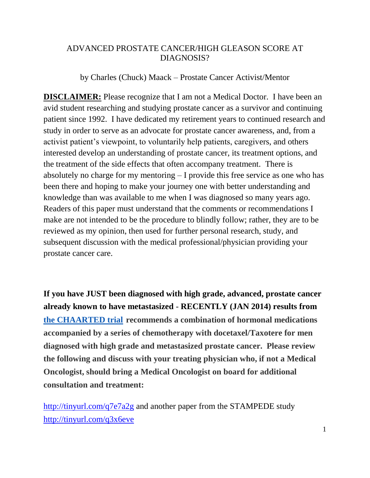## ADVANCED PROSTATE CANCER/HIGH GLEASON SCORE AT DIAGNOSIS?

by Charles (Chuck) Maack – Prostate Cancer Activist/Mentor

**DISCLAIMER:** Please recognize that I am not a Medical Doctor. I have been an avid student researching and studying prostate cancer as a survivor and continuing patient since 1992. I have dedicated my retirement years to continued research and study in order to serve as an advocate for prostate cancer awareness, and, from a activist patient's viewpoint, to voluntarily help patients, caregivers, and others interested develop an understanding of prostate cancer, its treatment options, and the treatment of the side effects that often accompany treatment. There is absolutely no charge for my mentoring – I provide this free service as one who has been there and hoping to make your journey one with better understanding and knowledge than was available to me when I was diagnosed so many years ago. Readers of this paper must understand that the comments or recommendations I make are not intended to be the procedure to blindly follow; rather, they are to be reviewed as my opinion, then used for further personal research, study, and subsequent discussion with the medical professional/physician providing your prostate cancer care.

**If you have JUST been diagnosed with high grade, advanced, prostate cancer already known to have metastasized** - **RECENTLY (JAN 2014) results from [the CHAARTED trial](http://clinicaltrials.gov/show/NCT00309985) recommends a combination of hormonal medications accompanied by a series of chemotherapy with docetaxel/Taxotere for men diagnosed with high grade and metastasized prostate cancer. Please review the following and discuss with your treating physician who, if not a Medical Oncologist, should bring a Medical Oncologist on board for additional consultation and treatment:**

<http://tinyurl.com/q7e7a2g> and another paper from the STAMPEDE study <http://tinyurl.com/q3x6eve>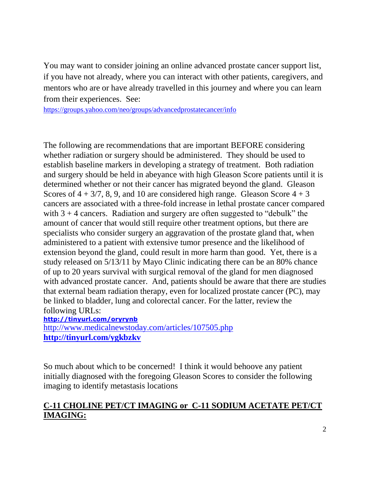You may want to consider joining an online advanced prostate cancer support list, if you have not already, where you can interact with other patients, caregivers, and mentors who are or have already travelled in this journey and where you can learn from their experiences. See:

<https://groups.yahoo.com/neo/groups/advancedprostatecancer/info>

The following are recommendations that are important BEFORE considering whether radiation or surgery should be administered. They should be used to establish baseline markers in developing a strategy of treatment. Both radiation and surgery should be held in abeyance with high Gleason Score patients until it is determined whether or not their cancer has migrated beyond the gland. Gleason Scores of  $4 + 3/7$ , 8, 9, and 10 are considered high range. Gleason Score  $4 + 3$ cancers are associated with a three-fold increase in lethal prostate cancer compared with  $3 + 4$  cancers. Radiation and surgery are often suggested to "debulk" the amount of cancer that would still require other treatment options, but there are specialists who consider surgery an aggravation of the prostate gland that, when administered to a patient with extensive tumor presence and the likelihood of extension beyond the gland, could result in more harm than good. Yet, there is a study released on 5/13/11 by Mayo Clinic indicating there can be an 80% chance of up to 20 years survival with surgical removal of the gland for men diagnosed with advanced prostate cancer. And, patients should be aware that there are studies that external beam radiation therapy, even for localized prostate cancer (PC), may be linked to bladder, lung and colorectal cancer. For the latter, review the following URLs:

**<http://tinyurl.com/oryrynb>**

<http://www.medicalnewstoday.com/articles/107505.php> **<http://tinyurl.com/ygkbzkv>**

So much about which to be concerned! I think it would behoove any patient initially diagnosed with the foregoing Gleason Scores to consider the following imaging to identify metastasis locations

## **C-11 CHOLINE PET/CT IMAGING or C-11 SODIUM ACETATE PET/CT IMAGING:**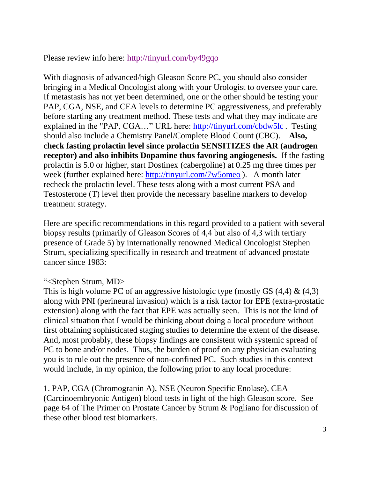Please review info here:<http://tinyurl.com/by49gqo>

With diagnosis of advanced/high Gleason Score PC, you should also consider bringing in a Medical Oncologist along with your Urologist to oversee your care. If metastasis has not yet been determined, one or the other should be testing your PAP, CGA, NSE, and CEA levels to determine PC aggressiveness, and preferably before starting any treatment method. These tests and what they may indicate are explained in the "PAP, CGA…" URL here:<http://tinyurl.com/cbdw5lc> . Testing should also include a Chemistry Panel/Complete Blood Count (CBC). **Also, check fasting prolactin level since prolactin SENSITIZES the AR (androgen receptor) and also inhibits Dopamine thus favoring angiogenesis.** If the fasting prolactin is 5.0 or higher, start Dostinex (cabergoline) at 0.25 mg three times per week (further explained here:<http://tinyurl.com/7w5omeo> ). A month later recheck the prolactin level. These tests along with a most current PSA and Testosterone (T) level then provide the necessary baseline markers to develop treatment strategy.

Here are specific recommendations in this regard provided to a patient with several biopsy results (primarily of Gleason Scores of 4,4 but also of 4,3 with tertiary presence of Grade 5) by internationally renowned Medical Oncologist Stephen Strum, specializing specifically in research and treatment of advanced prostate cancer since 1983:

## "<Stephen Strum, MD>

This is high volume PC of an aggressive histologic type (mostly GS  $(4,4)$  &  $(4,3)$ ) along with PNI (perineural invasion) which is a risk factor for EPE (extra-prostatic extension) along with the fact that EPE was actually seen. This is not the kind of clinical situation that I would be thinking about doing a local procedure without first obtaining sophisticated staging studies to determine the extent of the disease. And, most probably, these biopsy findings are consistent with systemic spread of PC to bone and/or nodes. Thus, the burden of proof on any physician evaluating you is to rule out the presence of non-confined PC. Such studies in this context would include, in my opinion, the following prior to any local procedure:

1. PAP, CGA (Chromogranin A), NSE (Neuron Specific Enolase), CEA (Carcinoembryonic Antigen) blood tests in light of the high Gleason score. See page 64 of The Primer on Prostate Cancer by Strum & Pogliano for discussion of these other blood test biomarkers.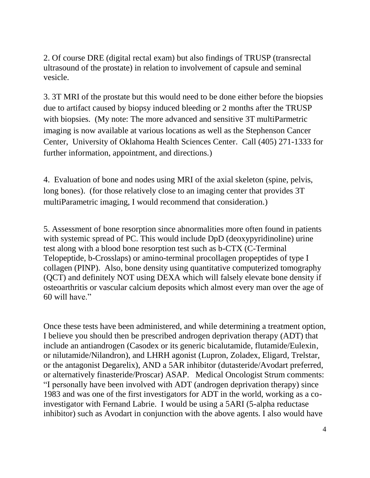2. Of course DRE (digital rectal exam) but also findings of TRUSP (transrectal ultrasound of the prostate) in relation to involvement of capsule and seminal vesicle.

3. 3T MRI of the prostate but this would need to be done either before the biopsies due to artifact caused by biopsy induced bleeding or 2 months after the TRUSP with biopsies. (My note: The more advanced and sensitive 3T multiParmetric imaging is now available at various locations as well as the Stephenson Cancer Center, University of Oklahoma Health Sciences Center. Call (405) 271-1333 for further information, appointment, and directions.)

4. Evaluation of bone and nodes using MRI of the axial skeleton (spine, pelvis, long bones). (for those relatively close to an imaging center that provides 3T multiParametric imaging, I would recommend that consideration.)

5. Assessment of bone resorption since abnormalities more often found in patients with systemic spread of PC. This would include DpD (deoxypyridinoline) urine test along with a blood bone resorption test such as b-CTX (C-Terminal Telopeptide, b-Crosslaps) or amino-terminal procollagen propeptides of type I collagen (PINP). Also, bone density using quantitative computerized tomography (QCT) and definitely NOT using DEXA which will falsely elevate bone density if osteoarthritis or vascular calcium deposits which almost every man over the age of 60 will have."

Once these tests have been administered, and while determining a treatment option, I believe you should then be prescribed androgen deprivation therapy (ADT) that include an antiandrogen (Casodex or its generic bicalutamide, flutamide/Eulexin, or nilutamide/Nilandron), and LHRH agonist (Lupron, Zoladex, Eligard, Trelstar, or the antagonist Degarelix), AND a 5AR inhibitor (dutasteride/Avodart preferred, or alternatively finasteride/Proscar) ASAP. Medical Oncologist Strum comments: "I personally have been involved with ADT (androgen deprivation therapy) since 1983 and was one of the first investigators for ADT in the world, working as a coinvestigator with Fernand Labrie. I would be using a 5ARI (5-alpha reductase inhibitor) such as Avodart in conjunction with the above agents. I also would have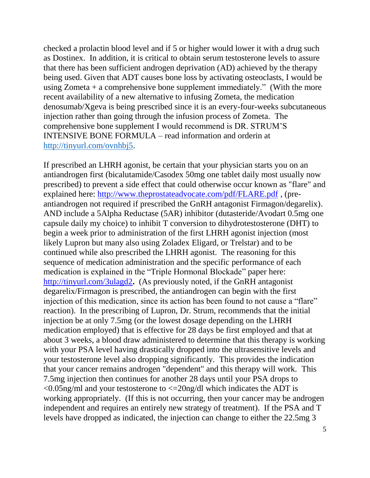checked a prolactin blood level and if 5 or higher would lower it with a drug such as Dostinex. In addition, it is critical to obtain serum testosterone levels to assure that there has been sufficient androgen deprivation (AD) achieved by the therapy being used. Given that ADT causes bone loss by activating osteoclasts, I would be using Zometa  $+$  a comprehensive bone supplement immediately." (With the more recent availability of a new alternative to infusing Zometa, the medication denosumab/Xgeva is being prescribed since it is an every-four-weeks subcutaneous injection rather than going through the infusion process of Zometa. The comprehensive bone supplement I would recommend is DR. STRUM'S INTENSIVE BONE FORMULA – read information and orderin at [http://tinyurl.com/ovnhbj5.](http://tinyurl.com/ovnhbj5)

If prescribed an LHRH agonist, be certain that your physician starts you on an antiandrogen first (bicalutamide/Casodex 50mg one tablet daily most usually now prescribed) to prevent a side effect that could otherwise occur known as "flare" and explained here: <http://www.theprostateadvocate.com/pdf/FLARE.pdf> , (preantiandrogen not required if prescribed the GnRH antagonist Firmagon/degarelix). AND include a 5Alpha Reductase (5AR) inhibitor (dutasteride/Avodart 0.5mg one capsule daily my choice) to inhibit T conversion to dihydrotestosterone (DHT) to begin a week prior to administration of the first LHRH agonist injection (most likely Lupron but many also using Zoladex Eligard, or Trelstar) and to be continued while also prescribed the LHRH agonist. The reasoning for this sequence of medication administration and the specific performance of each medication is explained in the "Triple Hormonal Blockade" paper here: <http://tinyurl.com/3ulagd2>**.** (As previously noted, if the GnRH antagonist degarelix/Firmagon is prescribed, the antiandrogen can begin with the first injection of this medication, since its action has been found to not cause a "flare" reaction). In the prescribing of Lupron, Dr. Strum, recommends that the initial injection be at only 7.5mg (or the lowest dosage depending on the LHRH medication employed) that is effective for 28 days be first employed and that at about 3 weeks, a blood draw administered to determine that this therapy is working with your PSA level having drastically dropped into the ultrasensitive levels and your testosterone level also dropping significantly. This provides the indication that your cancer remains androgen "dependent" and this therapy will work. This 7.5mg injection then continues for another 28 days until your PSA drops to  $\leq$ 0.05ng/ml and your testosterone to  $\leq$  20ng/dl which indicates the ADT is working appropriately. (If this is not occurring, then your cancer may be androgen independent and requires an entirely new strategy of treatment). If the PSA and T levels have dropped as indicated, the injection can change to either the 22.5mg 3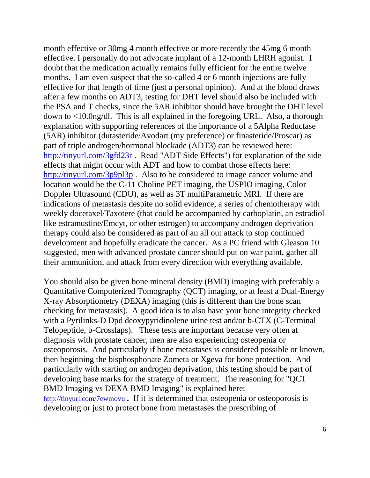month effective or 30mg 4 month effective or more recently the 45mg 6 month effective. I personally do not advocate implant of a 12-month LHRH agonist. I doubt that the medication actually remains fully efficient for the entire twelve months. I am even suspect that the so-called 4 or 6 month injections are fully effective for that length of time (just a personal opinion). And at the blood draws after a few months on ADT3, testing for DHT level should also be included with the PSA and T checks, since the 5AR inhibitor should have brought the DHT level down to <10.0ng/dl. This is all explained in the foregoing URL. Also, a thorough explanation with supporting references of the importance of a 5Alpha Reductase (5AR) inhibitor (dutasteride/Avodart (my preference) or finasteride/Proscar) as part of triple androgen/hormonal blockade (ADT3) can be reviewed here: <http://tinyurl.com/3gfd23r> . Read "ADT Side Effects") for explanation of the side effects that might occur with ADT and how to combat those effects here: <http://tinyurl.com/3p9pl3p> . Also to be considered to image cancer volume and location would be the C-11 Choline PET imaging, the USPIO imaging, Color Doppler Ultrasound (CDU), as well as 3T multiParametric MRI. If there are indications of metastasis despite no solid evidence, a series of chemotherapy with weekly docetaxel/Taxotere (that could be accompanied by carboplatin, an estradiol like estramustine/Emcyt, or other estrogen) to accompany androgen deprivation therapy could also be considered as part of an all out attack to stop continued development and hopefully eradicate the cancer. As a PC friend with Gleason 10 suggested, men with advanced prostate cancer should put on war paint, gather all their ammunition, and attack from every direction with everything available.

You should also be given bone mineral density (BMD) imaging with preferably a Quantitative Computerized Tomography (QCT) imaging, or at least a Dual-Energy X-ray Absorptiometry (DEXA) imaging (this is different than the bone scan checking for metastasis). A good idea is to also have your bone integrity checked with a Pyrilinks-D Dpd deoxypyridinolene urine test and/or b-CTX (C-Terminal Telopeptide, b-Crosslaps). These tests are important because very often at diagnosis with prostate cancer, men are also experiencing osteopenia or osteoporosis. And particularly if bone metastases is considered possible or known, then beginning the bisphosphonate Zometa or Xgeva for bone protection. And particularly with starting on androgen deprivation, this testing should be part of developing base marks for the strategy of treatment. The reasoning for "QCT BMD Imaging vs DEXA BMD Imaging" is explained here: <http://tinyurl.com/7ewmovu> **.** If it is determined that osteopenia or osteoporosis is developing or just to protect bone from metastases the prescribing of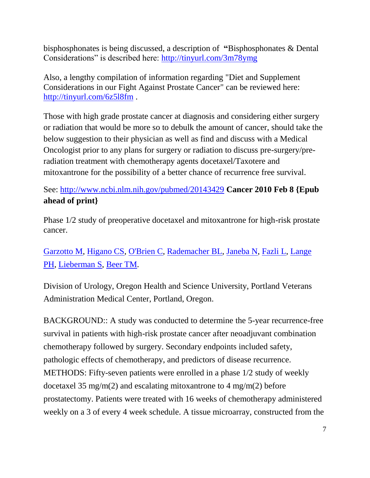bisphosphonates is being discussed, a description of **"**Bisphosphonates & Dental Considerations" is described here: <http://tinyurl.com/3m78ymg>

Also, a lengthy compilation of information regarding "Diet and Supplement Considerations in our Fight Against Prostate Cancer" can be reviewed here: <http://tinyurl.com/6z5l8fm> .

Those with high grade prostate cancer at diagnosis and considering either surgery or radiation that would be more so to debulk the amount of cancer, should take the below suggestion to their physician as well as find and discuss with a Medical Oncologist prior to any plans for surgery or radiation to discuss pre-surgery/preradiation treatment with chemotherapy agents docetaxel/Taxotere and mitoxantrone for the possibility of a better chance of recurrence free survival.

See:<http://www.ncbi.nlm.nih.gov/pubmed/20143429> **Cancer 2010 Feb 8 {Epub ahead of print}**

Phase 1/2 study of preoperative docetaxel and mitoxantrone for high-risk prostate cancer.

[Garzotto M,](http://www.ncbi.nlm.nih.gov/pubmed?term=%22Garzotto%20M%22%5BAuthor%5D&itool=EntrezSystem2.PEntrez.Pubmed.Pubmed_ResultsPanel.Pubmed_RVAbstract) [Higano CS,](http://www.ncbi.nlm.nih.gov/pubmed?term=%22Higano%20CS%22%5BAuthor%5D&itool=EntrezSystem2.PEntrez.Pubmed.Pubmed_ResultsPanel.Pubmed_RVAbstract) [O'Brien C,](http://www.ncbi.nlm.nih.gov/pubmed?term=%22O) [Rademacher BL,](http://www.ncbi.nlm.nih.gov/pubmed?term=%22Rademacher%20BL%22%5BAuthor%5D&itool=EntrezSystem2.PEntrez.Pubmed.Pubmed_ResultsPanel.Pubmed_RVAbstract) [Janeba N,](http://www.ncbi.nlm.nih.gov/pubmed?term=%22Janeba%20N%22%5BAuthor%5D&itool=EntrezSystem2.PEntrez.Pubmed.Pubmed_ResultsPanel.Pubmed_RVAbstract) [Fazli L,](http://www.ncbi.nlm.nih.gov/pubmed?term=%22Fazli%20L%22%5BAuthor%5D&itool=EntrezSystem2.PEntrez.Pubmed.Pubmed_ResultsPanel.Pubmed_RVAbstract) [Lange](http://www.ncbi.nlm.nih.gov/pubmed?term=%22Lange%20PH%22%5BAuthor%5D&itool=EntrezSystem2.PEntrez.Pubmed.Pubmed_ResultsPanel.Pubmed_RVAbstract)  [PH,](http://www.ncbi.nlm.nih.gov/pubmed?term=%22Lange%20PH%22%5BAuthor%5D&itool=EntrezSystem2.PEntrez.Pubmed.Pubmed_ResultsPanel.Pubmed_RVAbstract) [Lieberman S,](http://www.ncbi.nlm.nih.gov/pubmed?term=%22Lieberman%20S%22%5BAuthor%5D&itool=EntrezSystem2.PEntrez.Pubmed.Pubmed_ResultsPanel.Pubmed_RVAbstract) [Beer TM.](http://www.ncbi.nlm.nih.gov/pubmed?term=%22Beer%20TM%22%5BAuthor%5D&itool=EntrezSystem2.PEntrez.Pubmed.Pubmed_ResultsPanel.Pubmed_RVAbstract)

Division of Urology, Oregon Health and Science University, Portland Veterans Administration Medical Center, Portland, Oregon.

BACKGROUND:: A study was conducted to determine the 5-year recurrence-free survival in patients with high-risk prostate cancer after neoadjuvant combination chemotherapy followed by surgery. Secondary endpoints included safety, pathologic effects of chemotherapy, and predictors of disease recurrence. METHODS: Fifty-seven patients were enrolled in a phase 1/2 study of weekly docetaxel 35 mg/m(2) and escalating mitoxantrone to 4 mg/m(2) before prostatectomy. Patients were treated with 16 weeks of chemotherapy administered weekly on a 3 of every 4 week schedule. A tissue microarray, constructed from the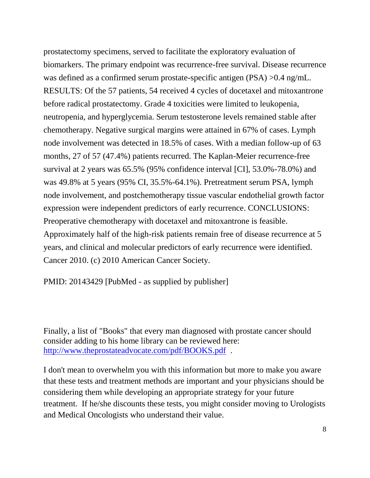prostatectomy specimens, served to facilitate the exploratory evaluation of biomarkers. The primary endpoint was recurrence-free survival. Disease recurrence was defined as a confirmed serum prostate-specific antigen (PSA) >0.4 ng/mL. RESULTS: Of the 57 patients, 54 received 4 cycles of docetaxel and mitoxantrone before radical prostatectomy. Grade 4 toxicities were limited to leukopenia, neutropenia, and hyperglycemia. Serum testosterone levels remained stable after chemotherapy. Negative surgical margins were attained in 67% of cases. Lymph node involvement was detected in 18.5% of cases. With a median follow-up of 63 months, 27 of 57 (47.4%) patients recurred. The Kaplan-Meier recurrence-free survival at 2 years was 65.5% (95% confidence interval [CI], 53.0%-78.0%) and was 49.8% at 5 years (95% CI, 35.5%-64.1%). Pretreatment serum PSA, lymph node involvement, and postchemotherapy tissue vascular endothelial growth factor expression were independent predictors of early recurrence. CONCLUSIONS: Preoperative chemotherapy with docetaxel and mitoxantrone is feasible. Approximately half of the high-risk patients remain free of disease recurrence at 5 years, and clinical and molecular predictors of early recurrence were identified. Cancer 2010. (c) 2010 American Cancer Society.

PMID: 20143429 [PubMed - as supplied by publisher]

Finally, a list of "Books" that every man diagnosed with prostate cancer should consider adding to his home library can be reviewed here: <http://www.theprostateadvocate.com/pdf/BOOKS.pdf> .

I don't mean to overwhelm you with this information but more to make you aware that these tests and treatment methods are important and your physicians should be considering them while developing an appropriate strategy for your future treatment. If he/she discounts these tests, you might consider moving to Urologists and Medical Oncologists who understand their value.